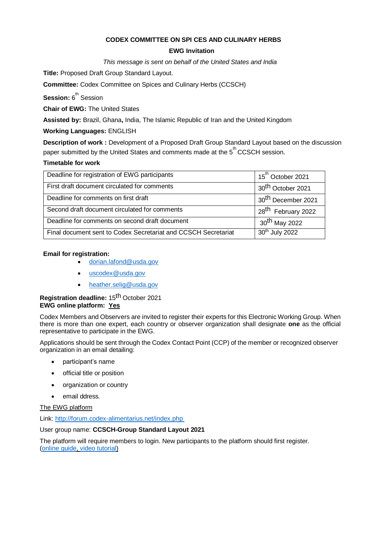# **CODEX COMMITTEE ON SPI CES AND CULINARY HERBS**

## **EWG Invitation**

*This message is sent on behalf of the United States and India* 

**Title:** Proposed Draft Group Standard Layout.

**Committee:** Codex Committee on Spices and Culinary Herbs (CCSCH)

**Session:** 6<sup>th</sup> Session

**Chair of EWG:** The United States

**Assisted by:** Brazil, Ghana**,** India, The Islamic Republic of Iran and the United Kingdom

# **Working Languages:** ENGLISH

**Description of work :** Development of a Proposed Draft Group Standard Layout based on the discussion paper submitted by the United States and comments made at the 5<sup>th</sup> CCSCH session.

## **Timetable for work**

| Deadline for registration of EWG participants                  | 15 <sup>th</sup> October 2021  |
|----------------------------------------------------------------|--------------------------------|
| First draft document circulated for comments                   | 30 <sup>th</sup> October 2021  |
| Deadline for comments on first draft                           | 30 <sup>th</sup> December 2021 |
| Second draft document circulated for comments                  | 28 <sup>th</sup> February 2022 |
| Deadline for comments on second draft document                 | 30 <sup>th</sup> May 2022      |
| Final document sent to Codex Secretariat and CCSCH Secretariat | 30th July 2022                 |

## **Email for registration:**

- [dorian.lafond@usda.gov](mailto:dorian.lafond@usda.gov)
- [uscodex@usda.gov](mailto:uscodex@usda.gov)
- [heather.selig@usda.gov](mailto:heather.selig@usda.gov)

# **Registration deadline:** 15th October 2021 **EWG online platform: Yes**

Codex Members and Observers are invited to register their experts for this Electronic Working Group. When there is more than one expert, each country or observer organization shall designate **one** as the official representative to participate in the EWG.

Applications should be sent through the Codex Contact Point (CCP) of the member or recognized observer organization in an email detailing:

- participant's name
- official title or position
- organization or country
- email ddress.

# The EWG platform

Link:<http://forum.codex-alimentarius.net/index.php>

User group name: **CCSCH-Group Standard Layout 2021**

The platform will require members to login. New participants to the platform should first register. [\(online](http://forum.codex-alimentarius.net/viewtopic.php?f=13&t=11) [guide,](http://forum.codex-alimentarius.net/viewtopic.php?f=13&t=11) [video tutorial\)](https://youtu.be/EJn9k7wNSwk)